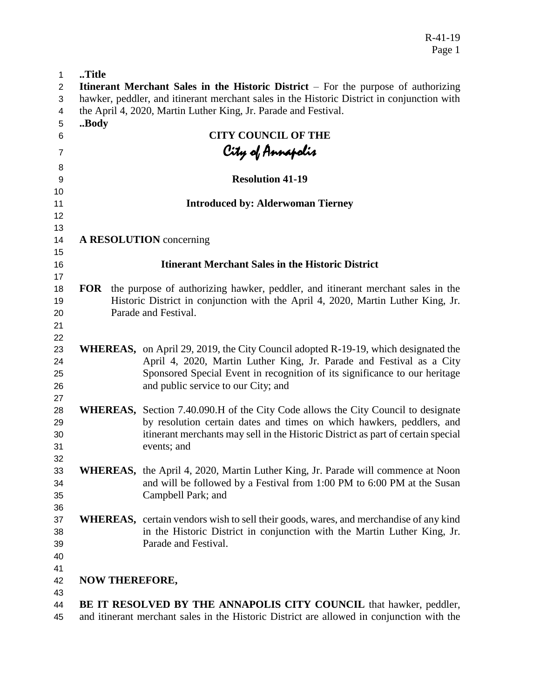R-41-19 Page 1

| Title |  | <b>Itinerant Merchant Sales in the Historic District</b> $-$ For the purpose of authorizing                                                                                                                                                                                            |
|-------|--|----------------------------------------------------------------------------------------------------------------------------------------------------------------------------------------------------------------------------------------------------------------------------------------|
|       |  | hawker, peddler, and itinerant merchant sales in the Historic District in conjunction with                                                                                                                                                                                             |
|       |  | the April 4, 2020, Martin Luther King, Jr. Parade and Festival.                                                                                                                                                                                                                        |
| Body  |  |                                                                                                                                                                                                                                                                                        |
|       |  | <b>CITY COUNCIL OF THE</b>                                                                                                                                                                                                                                                             |
|       |  |                                                                                                                                                                                                                                                                                        |
|       |  |                                                                                                                                                                                                                                                                                        |
|       |  | City of Annapolis<br>Resolution 41-19                                                                                                                                                                                                                                                  |
|       |  |                                                                                                                                                                                                                                                                                        |
|       |  | <b>Introduced by: Alderwoman Tierney</b>                                                                                                                                                                                                                                               |
|       |  | A RESOLUTION concerning                                                                                                                                                                                                                                                                |
|       |  | <b>Itinerant Merchant Sales in the Historic District</b>                                                                                                                                                                                                                               |
|       |  | <b>FOR</b> the purpose of authorizing hawker, peddler, and itinerant merchant sales in the<br>Historic District in conjunction with the April 4, 2020, Martin Luther King, Jr.<br>Parade and Festival.                                                                                 |
|       |  | <b>WHEREAS,</b> on April 29, 2019, the City Council adopted R-19-19, which designated the<br>April 4, 2020, Martin Luther King, Jr. Parade and Festival as a City<br>Sponsored Special Event in recognition of its significance to our heritage<br>and public service to our City; and |
|       |  | WHEREAS, Section 7.40.090.H of the City Code allows the City Council to designate<br>by resolution certain dates and times on which hawkers, peddlers, and<br>itinerant merchants may sell in the Historic District as part of certain special<br>events; and                          |
|       |  | WHEREAS, the April 4, 2020, Martin Luther King, Jr. Parade will commence at Noon<br>and will be followed by a Festival from 1:00 PM to 6:00 PM at the Susan<br>Campbell Park; and                                                                                                      |
|       |  | <b>WHEREAS</b> , certain vendors wish to sell their goods, wares, and merchandise of any kind<br>in the Historic District in conjunction with the Martin Luther King, Jr.<br>Parade and Festival.                                                                                      |
|       |  | <b>NOW THEREFORE,</b>                                                                                                                                                                                                                                                                  |
|       |  | BE IT RESOLVED BY THE ANNAPOLIS CITY COUNCIL that hawker, peddler,                                                                                                                                                                                                                     |
|       |  | and itinerant merchant sales in the Historic District are allowed in conjunction with the                                                                                                                                                                                              |